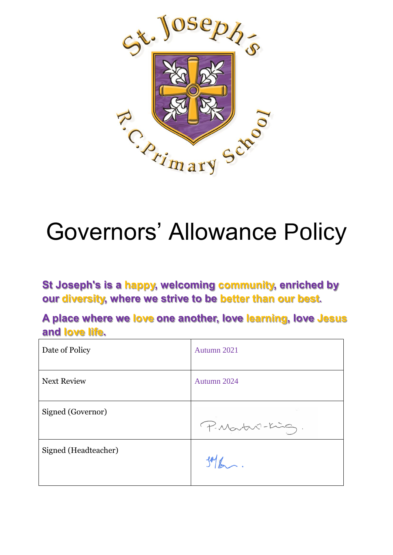

# Governors' Allowance Policy

**St Joseph's is a happy, welcoming community, enriched by our diversity, where we strive to be better than our best.**

**A place where we love one another, love learning, love Jesus and love life.**

| Date of Policy       | Autumn 2021     |
|----------------------|-----------------|
| <b>Next Review</b>   | Autumn 2024     |
| Signed (Governor)    | P. Martin-King. |
| Signed (Headteacher) | $306$ .         |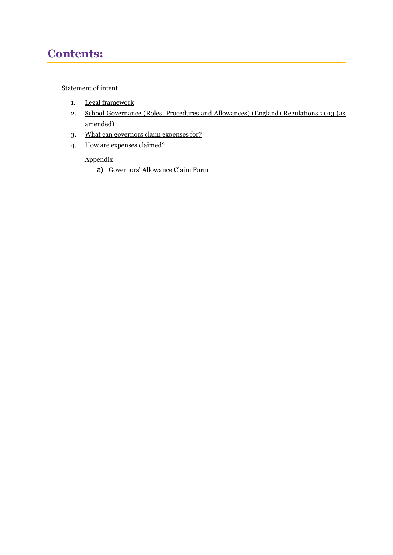# **Contents:**

#### [Statement of intent](#page-2-0)

- 1. [Legal framework](#page-3-0)
- 2. [School Governance \(Roles, Procedures and Allowances\) \(England\) Regulations 2013 \(as](#page-3-1)  [amended\)](#page-3-1)
- 3. [What can governors claim expenses for?](#page-3-2)
- 4. [How are expenses claimed?](#page-4-0)

#### Appendix

a) [Governors' Allowance](#page-5-0) Claim Form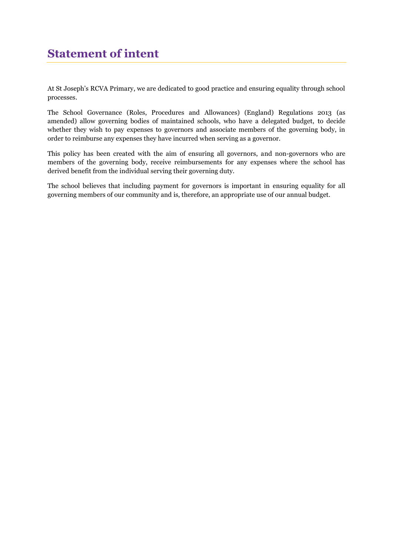<span id="page-2-0"></span>At St Joseph's RCVA Primary, we are dedicated to good practice and ensuring equality through school processes.

The School Governance (Roles, Procedures and Allowances) (England) Regulations 2013 (as amended) allow governing bodies of maintained schools, who have a delegated budget, to decide whether they wish to pay expenses to governors and associate members of the governing body, in order to reimburse any expenses they have incurred when serving as a governor.

This policy has been created with the aim of ensuring all governors, and non-governors who are members of the governing body, receive reimbursements for any expenses where the school has derived benefit from the individual serving their governing duty.

The school believes that including payment for governors is important in ensuring equality for all governing members of our community and is, therefore, an appropriate use of our annual budget.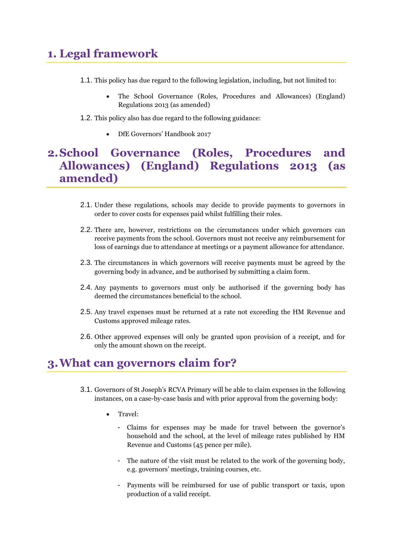# <span id="page-3-0"></span>**1. Legal framework**

- 1.1. This policy has due regard to the following legislation, including, but not limited to:
	- The School Governance (Roles, Procedures and Allowances) (England) Regulations 2013 (as amended)
- 1.2. This policy also has due regard to the following guidance:
	- DfE Governors' Handbook 2017

# <span id="page-3-1"></span>**2.School Governance (Roles, Procedures and Allowances) (England) Regulations 2013 (as amended)**

- 2.1. Under these regulations, schools may decide to provide payments to governors in order to cover costs for expenses paid whilst fulfilling their roles.
- 2.2. There are, however, restrictions on the circumstances under which governors can receive payments from the school. Governors must not receive any reimbursement for loss of earnings due to attendance at meetings or a payment allowance for attendance.
- 2.3. The circumstances in which governors will receive payments must be agreed by the governing body in advance, and be authorised by submitting a claim form.
- 2.4. Any payments to governors must only be authorised if the governing body has deemed the circumstances beneficial to the school.
- 2.5. Any travel expenses must be returned at a rate not exceeding the HM Revenue and Customs approved mileage rates.
- 2.6. Other approved expenses will only be granted upon provision of a receipt, and for only the amount shown on the receipt.

## <span id="page-3-2"></span>**3.What can governors claim for?**

- 3.1. Governors of St Joseph's RCVA Primary will be able to claim expenses in the following instances, on a case-by-case basis and with prior approval from the governing body:
	- Travel:
		- Claims for expenses may be made for travel between the governor's household and the school, at the level of mileage rates published by HM Revenue and Customs (45 pence per mile).
		- The nature of the visit must be related to the work of the governing body, e.g. governors' meetings, training courses, etc.
		- Payments will be reimbursed for use of public transport or taxis, upon production of a valid receipt.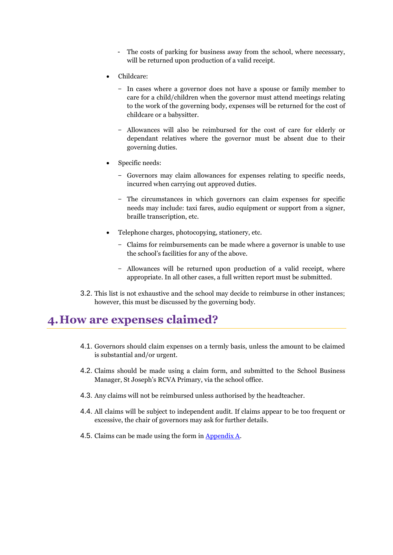- The costs of parking for business away from the school, where necessary, will be returned upon production of a valid receipt.
- Childcare:
	- In cases where a governor does not have a spouse or family member to care for a child/children when the governor must attend meetings relating to the work of the governing body, expenses will be returned for the cost of childcare or a babysitter.
	- Allowances will also be reimbursed for the cost of care for elderly or dependant relatives where the governor must be absent due to their governing duties.
- Specific needs:
	- Governors may claim allowances for expenses relating to specific needs, incurred when carrying out approved duties.
	- The circumstances in which governors can claim expenses for specific needs may include: taxi fares, audio equipment or support from a signer, braille transcription, etc.
- Telephone charges, photocopying, stationery, etc.
	- Claims for reimbursements can be made where a governor is unable to use the school's facilities for any of the above.
	- Allowances will be returned upon production of a valid receipt, where appropriate. In all other cases, a full written report must be submitted.
- 3.2. This list is not exhaustive and the school may decide to reimburse in other instances; however, this must be discussed by the governing body.

## <span id="page-4-0"></span>**4.How are expenses claimed?**

- 4.1. Governors should claim expenses on a termly basis, unless the amount to be claimed is substantial and/or urgent.
- 4.2. Claims should be made using a claim form, and submitted to the School Business Manager, St Joseph's RCVA Primary, via the school office.
- 4.3. Any claims will not be reimbursed unless authorised by the headteacher.
- 4.4. All claims will be subject to independent audit. If claims appear to be too frequent or excessive, the chair of governors may ask for further details.
- 4.5. Claims can be made using the form i[n Appendix A.](#page-5-0)